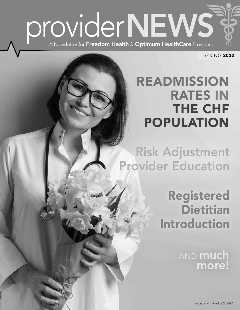

SPRING 2022

## READMISSION RATES IN THE CHF POPULATION

Risk Adjustment Provider Education

## Registered Dietitian Introduction

AND **much** more!

Printed and mailed 3/21/2022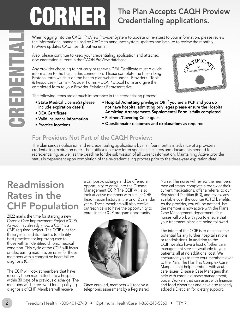## Credentialing applications.

When logging into the CAQH ProView Provider System to update or re-attest to your information, please review the informational banners used by CAQH to announce system updates and be sure to review the monthly ProView updates CAQH sends out via email.

Also, please continue to keep your credentialing application and attached documentation current in the CAQH ProView database.

The Plan Accepts CAQH Proview<br>
When logging into the CAQH ProView Provider System to update or re-attest to your information, please review<br>
The information all annex used by CAQH to announce system wide are to review the Any provider choosing to not carry or renew a DEA Certificate must p ovide information to the Plan in this connection. Please complete the Prescribing Protocol form which is on the health plan website under - Providers - Tools & Resources - Forms - Provider Forms – DEA Protocol Form and give the completed form to your Provider Relations Representative.



The following items are of much importance in the credentialing process:

- 
- State Medical License(s) please Hospital Admitting privileges OR if you are a PCP and you do include expiration date(s) not have hospital admitting privileges please ensure the Hospital • DEA Certificate Admitting Arrangements Supplemental Form is fully completed • Valid Insurance Information • Partners/Covering Colleagues
- 
- 
- 
- 
- Practice locations Questionnaire responses and explanations as required

#### For Providers Not Part of the CAQH Proview:

The plan sends notifica ion and re-credentialing applications by mail four months in advance of a providers credentialing expiration date. The notifica ion cover letter specifies he steps and documents needed for recredentialing, as well as the deadline for the submission of all current information. Maintaining Active provider status is dependent upon completion of the re-credentialing process prior to the three-year expiration date.

## Readmission Rates in the CHF Population

2022 marks the time for starting a new Chronic Care Improvement Project (CCIP). As you may already know, a CCIP is a CMS required project. The CCIP runs for three years, and its intent is to identify best practices for improving care to those with an identified ch onic medical condition. This cycle of the CCIP will focus on decreasing readmission rates for those members with a congestive heart failure diagnosis (CHF).

The CCIP will look at members that have recently been readmitted into a hospital within 30 days of a previous discharge. The members will be reviewed for a qualifying diagnosis of CHF. Members will receive

a call post-discharge and be offered an opportunity to enroll into the Disease Management CCIP. The CCIP will also look at active members with similar CHF Readmission history in the prior 2 calendar years. These members will also receive outreach calls to have the opportunity to enroll in this CCIP program opportunity.



Once enrolled, members will receive a telephonic assessment by a Registered Nurse. The nurse will review the members medical status, complete a review of their current medications, offer a referral to our Registered Dietitian (RD), and review any available over the counter (OTC) benefits. As the provider, you will be notified hat the member is now active with the Plan's Case Management department. Our nurses will work with you to ensure that your treatment plans are being followed.

The intent of the CCIP is to decrease the potential for any further hospitalizations or readmissions. In addition to the CCIP, we also have a host of other care management services available to your patients, all at no additional cost. We encourage you to refer your members over to the Plan. The Plan has Complex Case Mangers that help members with acute care issues; Disease Case Managers that help with chronic disease management; Social Workers that can assist with financial and food disparities and have also recently added a Dietician for dietary support.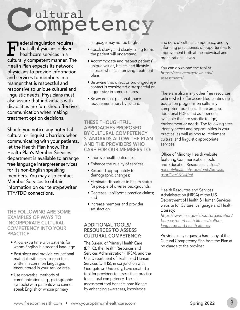Cultural<br> **Competency**<br> **Celeral regulation requires** 

Federal regulation requires<br>that all physicians deliver<br>healthcare services in a<br>culturally competent manner. The that all physicians deliver healthcare services in a culturally competent manner. The Health Plan expects its network physicians to provide information and services to members in a manner that is respectful and responsive to unique cultural and linguistic needs. Physicians must also assure that individuals with disabilities are furnished effective communication when making treatment option decisions.

Should you notice any potential cultural or linguistic barriers when communicating with your patients, let the Health Plan know. The Health Plan's Member Services department is available to arrange free language interpreter services for its non-English speaking members. You may also contact Member Services to obtain information on our teletypewriter TTY/TDD connections.

THE FOLLOWING ARE SOME EXAMPLES OF WAYS TO INCORPORATE CULTURAL COMPETENCY INTO YOUR PRACTICE:

- Allow extra time with patients for whom English is a second language.
- Post signs and provide educational materials with easy-to-read text, written in common languages encountered in your service area.
- Use nonverbal methods of communication (e.g., pictographic symbols) with patients who cannot speak English or whose primary

language may not be English.

- Speak slowly and clearly, using terms the patient will understand.
- Accommodate and respect patients' unique values, beliefs and lifestyle choices when customizing treatment plans.
- Be aware that direct or prolonged eye contact is considered disrespectful or aggressive in some cultures.
- Be aware that personal space requirements vary by culture.

THESE THOUGHTFUL APPROACHES PROPOSED BY CULTURAL COMPETENCY STANDARDS ALLOW THE PLAN AND THE PROVIDERS WHO CARE FOR OUR MEMBERS TO:

- Improve health outcomes;
- Enhance the quality of services;
- Respond appropriately to demographic changes;
- Eliminate disparities in health status for people of diverse backgrounds;
- Decrease liability/malpractice claims; and
- Increase member and provider satisfaction.

#### ADDITIONAL TOOLS/ RESOURCES TO ASSESS CULTURAL COMPETENCY:

The Bureau of Primary Health Care (BPHC), the Health Resources and Services Administration (HRSA), and the U.S. Department of Health and Human Services (DHHS), in conjunction with Georgetown University, have created a tool for providers to assess their practice for cultural competency. The selfassessment tool benefits prac itioners by enhancing awareness, knowledge

and skills of cultural competency, and by informing practitioners of opportunities for improvement both at the individual and organizational levels.

You can download the tool at *[https://nccc.georgetown.edu/](https://nccc.georgetown.edu/assessments/)  assessments/.* 

There are also many other free resources online which offer accredited continuing education programs on culturally competent practices. There are also additional PDF's and assessments available that are specific to age, environment or needs. The following sites identify needs and opportunities in your practice, as well as how to implement cultural and linguistic appropriate services.

Office of Minority Hea th website featuring Communication Tools and Education Resources: *https:// [minorityhealth.hhs.gov/omh/browse](https://minorityhealth.hhs.gov/omh/browse.aspx?lvl-1&lvlid-6). aspx?lvl=1&lvlid=6* 

Health Resources and Services Administration (HRSA) of the U.S. Department of Health & Human Services website for Culture, Language and Health Literacy:

*[https://www.hrsa.gov/about/organization](https://www.hrsa.gov/about/organization/bureaus/ohe/health-literacy/culture-language-and-health-literacy)/ bureaus/ohe/health-literacy/culturelanguage-and-health-literacy* 

Providers may request a hard copy of the Cultural Competency Plan from the Plan at no charge to the provider.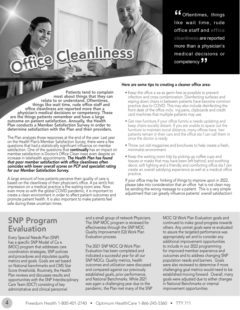**"**Oftentimes, things like wait time, rude office staff and **office cleanliness** are reported more than a physician's medical decisions or competency  $\overline{J}$ 

## eanliness

Patients tend to complain<br>most about things that they can<br>relate to or understand. Oftentimes,<br>things like wait time, rude office staff and things like wait time, rude office staff and<br>
office cleanliness are reported more than a<br>
physician's medical decisions or competency. These<br>
are the things patients remember and have a large<br>
outcome on patient satisfact outcome on patient satisfaction. Annually, the Health • Get new furniture if your office furnitu e needs updating and<br>Plan conducts a Member Satisfaction Survey in order to entity even chairs socially distant. If you are u Plan conducts a Member Satisfaction Survey in order to beep chairs socially distant. If you are unable to space out the determine satisfaction with the Plan and their providers.<br>
Intuiture to maintain social distance, many

The Plan analyzes those responses at the end of the year. Last year<br>on the Health Plan's Member Satisfaction Survey, there were a few<br>questions that had a statistically significant influence on membe<br>• Throw out old magazi questions that had a statistically significant influence on membe satisfaction. One of the questions that **continually** has an impact on minimalist environment.<br>member satisfaction is Doctor's Office Clean iness even despite an increase in telehealth appointments. The Health Plan has found<br>
that poor member satisfaction with office cleanliness often<br>
coincides with lower overall scores on PCP and specialist rating<br>
decor, soft lighting and a frie *for our Member Satisfaction Survey.* create an overall satisfying experience as well at a medical office

A large amount of how patients perceive their quality of care is<br>based on the cleanliness of their physician's office. A pa ient's first<br>impression on a medical practice is the waiting room area. Now<br>even more so with the promote patient health. It is also important to make patients feel safe during these uncertain times.

#### Here are some tips to creating a cleaner office area:

- Keep the office a ea as germ-free as possible to prevent infection and cross contamination. Disinfecting surfaces and wiping down chairs in between patients have become common
- furniture to maintain social distance, many offices have heir<br>patients remain in their cars and the office sta f can call them in
- 
- practice.

### SNP Program **Evaluation**

Every Special Needs Plan (SNP) has a specific SNP Model of Ca e (MOC) program that addresses care coordination strategies, SNP policies and procedures and stipulates quality metrics and goals. Goals are set based on National benchmarks and CMS Star Score thresholds. Routinely, the Health Plan reviews and discusses results and opportunities with the SNP Interdisciplinary Care Team (IDCT) consisting of key administrative and clinical personnel

and a small group of network Physicians. The SNP MOC program is reviewed for effectiveness through the SNP MOC Quality Improvement (QI) Work Plan Evaluation process.

The 2021 SNP MOC QI Work Plan Evaluation has been completed and indicated a successful year for all our SNP MOCs. Quality metrics, health outcomes and utilization were discussed and compared against our previously established goals, prior performance, and National Benchmarks. While 2021 was again a challenging year due to the pandemic, the Plan met many of the SNP

MOC QI Work Plan Evaluation goals and continued to make good progress towards others. Any unmet goals were re-evaluated to assure the targeted performance was appropriately set and to consider any additional improvement opportunities to include in our 2022 programming for improved member experience and outcomes and to address changing SNP population needs and barriers. Goals were also reviewed to determine if more challenging goal metrics would need to be established moving forward. Overall, many goals were adjusted due to either changes in National Benchmarks or internal improvement opportunities.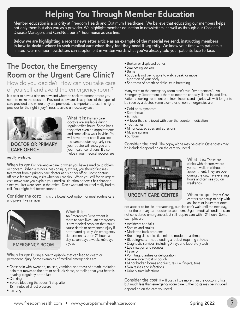## Helping You Through Member Education

Member education is a priority at Freedom Health and Optimum Healthcare. We believe that educating our members helps not only them but also you as a provider. We highlight member education in newsletters, as well as through our Case and Disease Managers and CareNet, our 24-hour nurse advice line.

Below we are highlighting a recent newsletter article as an example of the material we send, instructing members in how to decide where to seek medical care when they feel they need it urgently. We know your time with patients is limited. Our member newsletters can supplement in written words what you've already told your patients face-to-face.

### The Doctor, the Emergency Room or the Urgent Care Clinic?

How do you decide? How can you take care of yourself and avoid the emergency room?

It is best to have a plan on how and where to seek treatment before you need to make the decision. Provided below are descriptions of the types of care provided and where they are provided. It is important to use the right provider for the right injury/illness to avoid unnecessary cost.



#### DOCTOR OR PRIMARY CARE OFFICE

What it is: Primary care doctors are available during regular office hours. Some imes they offer evening appointments and some allow walk-in visits. You will have better care if you see the same doctor regularly since your doctor will know you and your health conditions. It also helps if your medical records are

#### readily available.

**When to go:** For preventive care, or when you have a medical problem or concern. When a minor illness or injury strikes, you should first seek treatment from a primary care doctor at his or her office. Most doctors' offices o fer same day visits when you are sick. When you call for an urgent visit, make sure you explain your medical situation or how it has changed since you last were seen in the office. Don t wait until you feel really bad to call. You might feel better sooner.

Consider the cost: This is the lowest cost option for most routine care and preventive services.



#### What it is:

An Emergency Department is there to save lives. An emergency is any medical problem that could cause death or permanent injury if not treated quickly. An emergency department is open 24 hours a day, seven days a week, 365 days a year.

When to go: During a health episode that can lead to death or permanent injury. Some examples of medical emergencies are:

- Chest pain with sweating, nausea, vomiting, shortness of breath, radiating pain that moves to the arm or neck, dizziness, or feeling that your heart is beating irregularly or too fast
- Choking
- Severe bleeding that doesn't stop after 15 minutes of direct pressure
- Fainting
- Broken or displaced bones
- Swallowing poison
- Burns
- Suddenly not being able to walk, speak, or move a portion of your body
- Shortness of breath or difficu ty in breathing

Many visits to the emergency room aren't true "emergencies". An Emergency Department is there to treat the critically ill and injured first. Patients seeking treatment of minor illnesses and injuries will wait longer to be seen by a doctor. Some examples of non-emergencies are:

- Cold or flu symptom
- Sore throat
- Earache
- A fever that is relieved with over-the-counter medication
- Toothaches
- Minor cuts, scrapes and abrasions
- Muscle sprains
- Sunburn

Consider the cost: The copay alone may be costly. Other costs may be included depending on the care you need.



What it is: These are clinics with doctors where you can walk-in without an appointment. They are open during the day, have evening hours and can see you on weekends.

When to go: Urgent Care centers are setup to help with an illness or injury that does

not appear to be life –threatening, but also can't wait until the next day, or for the primary care doctor to see them. Urgent medical conditions are not considered emergencies but still require care within 24 hours. Some examples are:

- Accidents and falls
- Sprains and strains
- Moderate back problems
- Breathing difficu ties (i.e. mild to moderate asthma)
- Bleeding/cuts -- not bleeding a lot but requiring stitches
- Diagnostic services, including X-rays and laboratory tests
- Eye irritation and redness
- Fever or fl
- Vomiting, diarrhea or dehydration
- Severe sore throat or cough
- Minor broken bones and fractures (i.e. fingers, toes
- Skin rashes and infections
- Urinary tract infections

Consider the cost: It will cost a little more than the doctor's office but much less than emergency room care. Other costs may be included depending on the care you need.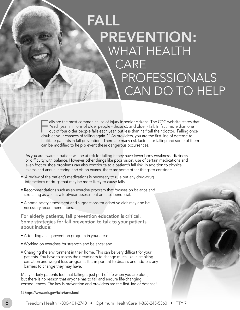## FALL PREVENTION: WHAT HEALTH CARE PROFESSIONALS CAN DO TO HELP

Falls are the most common cause of injury in senior citizens. The CDC website states that,<br>
"each year, millions of older people - those 65 and older - fall. In fact, more than one<br>
out of four older people falls each year "each year, millions of older people - those 65 and older - fall. In fact, more than one doubles your chances of falling again." 1 As providers, you are the first ine of defense to facilitate patients in fall prevention. There are many risk factors for falling and some of them can be modified to help p event these dangerous occurrences.

As you are aware, a patient will be at risk for falling if they have lower body weakness, dizziness or difficu ty with balance. However other things like poor vision, use of certain medications and even foot or shoe problems can also contribute to a patient's fall risk. In addition to physical exams and annual hearing and vision exams, there are some other things to consider:

• A review of the patient's medications is necessary to rule out any drug-drug interactions or drugs that may be more likely to cause falls.

j

- Recommendations such as an exercise program that focuses on balance and stretching as well as a footwear assessment are also beneficial.
- A home safety assessment and suggestions for adaptive aids may also be necessary recommendations.

For elderly patients, fall prevention education is critical. Some strategies for fall prevention to talk to your patients about include:

- Attending a fall prevention program in your area;
- Working on exercises for strength and balance; and
- Changing the environment in their home. This can be very difficu t for your patients. You have to assess their readiness to change much like in smoking cessation and weight loss programs. It is important to discuss and address any barriers to change they may have.

Many elderly patients feel that falling is just part of life when you are older, but there is no reason that anyone has to fall and endure life-changing consequences. The key is prevention and providers are the first ine of defense!

1.) <https://www.cdc.gov/falls/facts.html>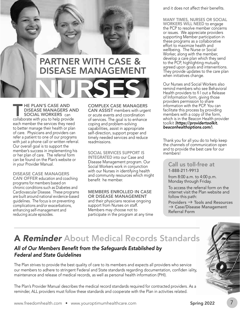

## NURSES PARTNER WITH CASE & DISEASE MANAGEMENT

THE PLAN'S CASE AND<br>DISEASE MANAGERS AN<br>SOCIAL WORKERS can<br>collaborate with you to help provide DISEASE MANAGERS AND SOCIAL WORKERS can each member the services they need to better manage their health or plan of care. Physicians and providers can refer a patient to one of our programs with just a phone call or written referral. Our overall goal is to support the member's success in implementing his or her plan of care. The referral form can be found on the Plan's website or in your Provider Manual.

DISEASE CASE MANAGERS CAN OFFER education and coaching programs for members based on chronic conditions such as Diabetes and Cardiovascular Disease. These programs are built around national evidence-based guidelines. The focus is on preventing complications and/or exacerbations, enhancing self-management and reducing acute episodes.

COMPLEX CASE MANAGERS CAN ASSIST members with urgent or acute events and coordination of services. The goal is to enhance coping and problem-solving capabilities, assist in appropriate self-direction, support proper and timely needed services and reduce readmissions.

#### SOCIAL SERVICES SUPPORT IS

INTEGRATED into our Case and Disease Management program. Our Social Workers work in conjunction with our Nurses in identifying health and community resources which might benefit he member.

#### MEMBERS ENROLLED IN CASE

OR DISEASE MANAGEMENT and their physicians receive ongoing support from Nurses on staff. Members may choose not to participate in the program at any time and it does not affect their benefits.

MANY TIMES, NURSES OR SOCIAL WORKERS WILL NEED to engage the PCP to resolve member concerns or issues. We appreciate providers supporting Member participation in these programs as a collaborative effort to maximize health and wellbeing. The Nurse or Social Worker, along with the member, develop a care plan which they send to the PCP, highlighting mutually agreed upon goals and interventions. They provide updates to the care plan when initiatives change.

Our Nurses and Social Workers also remind members who see Behavioral Health providers to fi l out a Release of Information form, giving those providers permission to share information with the PCP. You can facilitate this process by providing members with a copy of the form, which is in the Beacon Health provider toolkit (*https://providertoolkit. [beaconhealthoptions.com/](https://providertoolkit.beaconhealthoptions.com)*).

Thank you for all you do to help keep the channels of communication open and to provide the best care for our members!

#### Call us toll-free at 1-888-211-9913

from 8:00 a.m. to 4:00 p.m. Monday through Friday.

To access the referral form on the internet visit the Plan website and follow this path:

Providers  $\rightarrow$  Tools and Resources  $\rightarrow$  Case/Disease Management Referral Form

## A *Reminder* About Medical Records Standards

#### All of Our Members Benefit from the Safeguards Established by *Federal and State Guidelines*

The Plan strives to provide the best quality of care to its members and expects all providers who service our members to adhere to stringent Federal and State standards regarding documentation, confiden iality, maintenance and release of medical records, as well as personal health information (PHI).

The Plan's Provider Manual describes the medical record standards required for contracted providers. As a reminder, ALL providers must follow these standards and cooperate with the Plan in activities related.



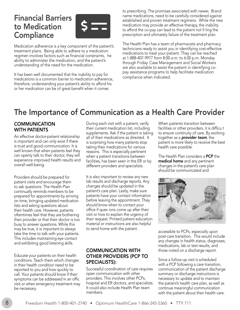### Financial Barriers to Medication **Compliance**



Medication adherence is a key component of the patient's treatment plans. Being able to adhere to a medication regimen involves factors such as financial constraints, he ability to administer the medication, and the patient's understanding of the need for the medication.

It has been well documented that the inability to pay for medications is a common barrier to medication adherence, therefore, understanding your patient's ability to afford his or her medication can be of great benefit when it comes

to prescribing. The promises associated with newer, Brand name medications, need to be carefully considered against established and proven treatment regimens. While the new medication may provide an effective therapy, the inability to afford the co-pay can lead to the patient not fi ling the prescription and ultimately failure of the treatment plan.

The Health Plan has a team of pharmacists and pharmacy technicians ready to assist you in identifying cost-effective medications to treat your patient. They can be reached at 1-888-407-9977 from 8:00 a.m. to 6:00 p.m. Monday through Friday. Case Management and Social Workers are also available to assist the patient in identifying copay assistance programs to help facilitate medication compliance when indicated.

## The Importance of Communication as a Health Care Provider

#### **COMMUNICATION** WITH PATIENTS

An effective doctor-patient relationship is important and can only exist if there is trust and good communication. It is well known that when patients feel they can openly talk to their doctor, they will experience improved health results and overall well-being.

Providers should be prepared for patient visits and encourage them to ask questions. The Health Plan continually reminds members to be prepared for appointments by arriving on time, bringing updated medication lists and asking questions about their health care. However, patients oftentimes feel that they are bothering their provider or that their doctor is too busy to answer questions. While this may be true, it is important to always take the time to talk with your patients. This includes maintaining eye contact and exhibiting good listening skills.

Educate your patients on their health conditions. Teach them which changes in their health condition need to be reported to you and how quickly to call. Your patients should know if their symptoms can be addressed in an offic visit or when emergency treatment may be necessary.

During each visit with a patient, verify their current medication list, including supplements. Ask if the patient is taking all of their medications as directed. It is surprising how many patients stop taking their medications for various reasons. This is especially pertinent when a patient transitions between facilities, has been seen in the ER or by different providers and specialists.

It is also important to review any new lab results and discharge reports. Any changes should be updated in the patient's care plan. Lastly, make sure patients have your contact information before leaving the appointment. They should know when to contact your office if ques ions come up after their visit or how to explain the urgency of their request. Printed patient education material or instructions are also helpful to send home with the patient.

#### COMMUNICATION WITH OTHER PROVIDERS (PCP TO SPECIALISTS):

Successful coordination of care requires open communication with other providers. This involves other PCPs, hospital and ER doctors, and specialists. It could also include Health Plan team members.

When patients transition between facilities or other providers, it is difficu t to ensure continuity of care. By working together as a *provider team*, the patient is more likely to receive the best health care possible.

The Health Plan considers a PCP the medical home and any pertinent changes in the patient's care plan should be communicated and



accessible to PCPs, especially upon post-care transition. This would include any changes in health status, diagnoses, medications, lab or test results, and those noted on a discharge report.

Since a follow-up visit is scheduled with a PCP following a care transition, communication of the patient discharge summary or discharge instructions is necessary to update and to maintain the patient's health care plan, as well as continue meaningful communication with the patient about their health care.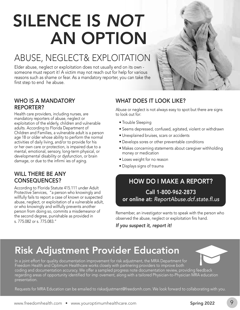## SILENCE IS *NOT*  AN OPTION

## ABUSE, NEGLECT& EXPLOITATION

Elder abuse, neglect or exploitation does not usually end on its own someone must report it! A victim may not reach out for help for various reasons such as shame or fear. As a mandatory reporter, you can take the first step to end he abuse.

#### WHO IS A MANDATORY REPORTER?

Health care providers, including nurses, are mandatory reporters of abuse, neglect or exploitation of the elderly, children and vulnerable adults. According to Florida Department of Children and Families, a vulnerable adult is a person age 18 or older whose ability to perform the normal activities of daily living, and/or to provide for his or her own care or protection, is impaired due to a mental, emotional, sensory, long-term physical, or developmental disability or dysfunction, or brain damage, or due to the infirmi ies of aging.

#### WILL THERE BE ANY CONSEQUENCES?

According to Florida Statute 415.111 under Adult Protective Services, "a person who knowingly and willfully fails to report a case of known or suspected abuse, neglect, or exploitation of a vulnerable adult, or who knowingly and willfully prevents another person from doing so, commits a misdemeanor of the second degree, punishable as provided in s. 775.082 or s. 775.083."

#### WHAT DOES IT LOOK LIKE?

Abuse or neglect is not always easy to spot but there are signs to look out for:

- Trouble Sleeping
- Seems depressed, confused, agitated, violent or withdrawn
- Unexplained bruises, scars or accidents
- Develops sores or other preventable conditions
- Makes concerning statements about caregiver withholding money or medication
- Loses weight for no reason
- Displays signs of trauma

### HOW DO I MAKE A REPORT? Call 1-800-962-2873 or online at: [ReportAbuse.dcf.state.fl.us](https://ReportAbuse.dcf.state.fl.us)

Remember, an investigator wants to speak with the person who observed the abuse, neglect or exploitation firs hand.

*If you suspect it, report it!* 

## Risk Adjustment Provider Education

In a joint effort for quality documentation improvement for risk adjustment, the MRA Department for Freedom Health and Optimum Healthcare works closely with partnering providers to improve both coding and documentation accuracy. We offer a sampled progress note documentation review, providing feedback regarding areas of opportunity identified for imp ovement, along with a tailored Physician-to-Physician MRA education presentation.

Requests for MRA Education can be emailed to [riskadjustment@freedomh.com](mailto:riskadjustment@freedomh.com). We look forward to collaborating with you.

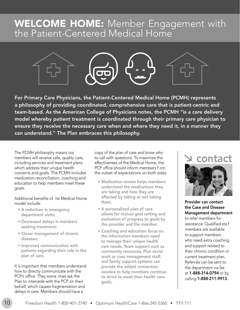## WELCOME HOME: Member Engagement with the Patient-Centered Medical Home



For Primary Care Physicians, the Patient-Centered Medical Home (PCMH) represents a philosophy of providing coordinated, comprehensive care that is patient-centric and team-based. As the American College of Physicians notes, the PCMH "is a care delivery model whereby patient treatment is coordinated through their primary care physician to ensure they receive the necessary care when and where they need it, in a manner they can understand." The Plan embraces this philosophy.

The PCMH philosophy means our members will receive safe, quality care, including services and treatment plans which address their unique health concerns and goals. The PCMH includes medication reconciliation, coaching and education to help members meet these goals.

Additional benefits of he Medical Home model include:

- A reduction in emergency department visits;
- Decreased delays in members seeking treatment;
- Closer management of chronic diseases;
- Improved communication with patients regarding their role in the plan of care.

It is important that members understand how to directly communicate with the PCP's office. They some imes ask the Plan to intercede with the PCP on their behalf, which causes fragmentation and delays in care. Members should have a

copy of the plan of care and know who to call with questions. To maximize the effectiveness of the Medical Home, the PCP office should inform members f om the outset of expectations on both sides.

- Medication review helps members understand the medications they are taking and how they are affected by taking or not taking them.
- A personalized plan of care allows for mutual goal setting and evaluation of progress to goals by the provider and the member.
- Coaching and education focus on the information members need to manage their unique health care needs. Team support such as community resources, Plan social work or case management staff, and family support systems can provide the added connection needed to help members continue to strive to meet their health care goals.

## contact



Provider can contact the Case and Disease Management department to refer members for assistance. Qualified sta f members are available to support members who need extra coaching and support related to their chronic condition or current treatment plan. Referrals can be sent to the department via fax at 1-888-314-0794 or by calling 1-888-211-9913.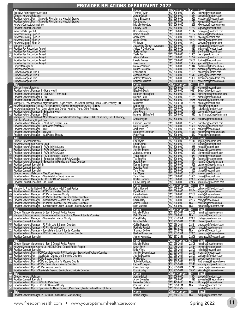#### PROVIDER RELATIONS DEPARTMENT 2022

| $\equiv$<br>Sucu                          | <b>Title</b><br><b>Executive Administrative Assistant</b><br>Director, Network Relations<br>Provider Network Mgr I - Statewide Physician and Hospital Groups<br>Provider Network Mgr I - Statewide Physician and Hospital Groups<br>Network Contract Administrator<br><b>Provider Contract Specialist I</b><br>Network Data Spec Ld<br>Network Directory Spec Sr<br>Network Directory Spec Sr<br>Network Directory Spec Sr<br>Network Directory Spec Sr<br>Manager I, Claims<br>Provider Pay Reconsider Analyst I<br>Provider Pay Reconsider Analyst I<br>Provider Pay Reconsider Analyst I<br>Provider Pay Reconsider Analyst I<br>Provider Pay Reconsider Analyst I<br>Provider Pay Reconsider Analyst I<br>Project Manager, Sr.<br>Project Administrator<br>Grievance/Appeals Rep III<br>Grievance/Appeals Rep II<br>Grievance/Appeals Rep I<br>Grievance/Appeals Rep I                                                                                                                                                 | <b>Name</b><br><b>Tammy Taylor</b><br>Adrian Goluch<br>Ileana Escobosa<br>Ken England<br>Michelle Woodard<br><b>Lindsey Gavin</b><br><b>Bhoshile Mangru</b><br>Shawn Khurana<br>Arielle Lyles<br>Alexis Bissen<br>Wil Reyes<br>Jacqueline Glymph - Anderson<br>Julissa P De La Cruz<br>Susie Heffner<br>Teela Barr<br>Ailicec Cabrera<br>Lakelia Tookes<br>Jose Garcia<br>Marcos Vazquez<br>Marion Policarpio<br>Ebony Baker<br>Johanna Arroyo<br>Anthony Mckenzie<br><b>Delticeer Williams</b> | Office Number Ext E-mail<br>$(813) 506 - 6000$<br>$(813) 506 - 6000$<br>$(813) 506 - 6000$<br>$(813) 506 - 6000$<br>$(813) 506 - 6000$<br>$(813) 506 - 6000$<br>$(813) 506 - 6000$<br>$(813)506-6000$<br>$(813)506-6000$<br>$(813)506-6000$<br>$(813)506-6000$<br>$(813)506-6000$<br>$(813)506-6000$<br>$(813)506-6000$<br>$(813)506-6000$<br>$(813)506-6000$<br>$(813)506-6000$<br>$(813)506-6000$<br>$(813)506-6000$<br>$(813)506-6000$<br>$(813) 506 - 6000$<br>$(813) 506 - 6000$<br>$(813) 506 - 6000$<br>$(813) 506 - 6000$<br>(813) 506-6000<br>(813) 506-6000 | 11377 tetaylor@freedomh.com<br>11354 agoluch@freedomh.com<br>11953<br>iescobosa@freedomh.com<br>11713 kengland@freedomh.com<br>Mwoodard@freedomh.com<br>11256<br>11783 logavin@freedomh.com<br>11117 bmangru@freedomh.com<br>11187 skhurana@freedomh.com<br>19189 Alyles@freedomh.com<br>19169 abissen@freedomh.com<br>19191 Wreyes@freedomh.com<br>11085 janderson@freedomh.com<br>11087 jpdlacruz@freedomh.com<br>11329 sheffner@freedomh.com<br>11355 tbarr@freedomh.com<br>11294 acabrera@freedomh.com<br>19182 Itookes@freedomh.com<br>11467 jgarcia02@freedomh.com<br>11044 mvazquez@freedomh.com<br>11975 mpolicarpio@freedomh.com<br>11191 ebaker@freedomh.com<br>11513 jarroyo@freedomh.com<br>11036 amckenzie@freedomh.com<br>11969 ddwilliams@freedomh.com |
|-------------------------------------------|----------------------------------------------------------------------------------------------------------------------------------------------------------------------------------------------------------------------------------------------------------------------------------------------------------------------------------------------------------------------------------------------------------------------------------------------------------------------------------------------------------------------------------------------------------------------------------------------------------------------------------------------------------------------------------------------------------------------------------------------------------------------------------------------------------------------------------------------------------------------------------------------------------------------------------------------------------------------------------------------------------------------------|-------------------------------------------------------------------------------------------------------------------------------------------------------------------------------------------------------------------------------------------------------------------------------------------------------------------------------------------------------------------------------------------------------------------------------------------------------------------------------------------------|-----------------------------------------------------------------------------------------------------------------------------------------------------------------------------------------------------------------------------------------------------------------------------------------------------------------------------------------------------------------------------------------------------------------------------------------------------------------------------------------------------------------------------------------------------------------------|-----------------------------------------------------------------------------------------------------------------------------------------------------------------------------------------------------------------------------------------------------------------------------------------------------------------------------------------------------------------------------------------------------------------------------------------------------------------------------------------------------------------------------------------------------------------------------------------------------------------------------------------------------------------------------------------------------------------------------------------------------------------------|
| <b>Ancillary</b>                          | Title<br>Director, Network Relations<br>Provider Network Manager II - Home Health<br>Provider Network Manager II - DME/O&P (Team lead)<br>Provider Network Manager II - SNF<br>Provider Contract Specialist II - In House<br>Manager II, Provider Network Mgmt/Relations - Gym, Vision, Lab, Dental, Hearing, Trans, Chiro, Podiatry, BH<br>Network Management Rep, Sr. - Vision, Dental, Hearing, Transportation, Chiro, Podiatry<br>Network Management Rep - Gym, Vision, Lab, Dental, Hearing, Trans, Chiro, Podiatry<br>Provider Network Manager II - Behavioral Health<br>Provider Network Manager I - DME<br>Manager II, Provider Network Mamt/Relations - Ancillary Contracting: Dialysis, DME, IV Infusion, Out Pt. Therapy,<br>Orthotics/Prosthetics, Urgent Care<br>Provider Network Manager I - IV Infusion, Urgent Care<br>Provider Network Manager I - Orthotics/Prosthetics<br>Provider Network Manager I - DME<br>Provider Network Manager I - Dialysis<br>Provider Network Manager I - Out Patient Therapy | Name<br>Ken Hacek<br><b>Elizabeth Davis</b><br>Maureen Shillingford<br>Melanie Paulk<br>Kailee Hamilton<br>Nick Patel<br>Debbie Nix<br>Kenneth Daniels<br>Alba Rivera<br>Maureen Shillingford<br>Sheila Peglow<br>Fatemeh Sanchez<br>Mary C. Young<br>Amit Bhatt<br>Marquessa Jefferson<br>Peter Vega                                                                                                                                                                                           | Office Number Ext E-mail<br>$(813) 506 - 6000$<br>(813) 506-6000<br>$(813) 506 - 6000$<br>(813) 506-6000<br>(813) 506-6000<br>(813) 506-6104<br>(813) 506-6000<br>(813) 506-6000<br>(813) 506-6000<br>$(813) 506 - 6000$<br>$(813) 506 - 6000$<br>$(813) 506 - 6000$<br>(813) 506-6000<br>(813) 506-6000<br>$(813) 506 - 6000$<br>$(813) 506 - 6000$<br><u>(813) 506-6000</u>                                                                                                                                                                                         | 11037 khacek@freedomh.com<br>19321<br>Edavis@freedomh.com<br>11913 mshillingford@freedomh.com<br>11181<br>mpaulk@freedomh.com<br>19455 Khamilton@freedomh.com<br>11158 npatel@freedomh.com<br>11949 dnix@freedomh.com<br>11417<br>kdaniels@freedomh.com<br>11958 acrivera@freedomh.com<br>mshillingford@freedomh.com<br>11913<br>11060<br>speglow@freedomh.com<br>11553<br>fsanchez@freedomh.com<br>11456 mcyoung@freedomh.com<br>11486 abhatt@freedomh.com<br>11419 mjefferson@freedomh.com<br>11542 Pvega@freedomh.com                                                                                                                                                                                                                                              |
| Florida<br>5                              | <b>Title</b><br>Director, Network Relations<br>Network Development Analyst Lead<br>Provider Network Manager II - PCPs in Hills County<br>Provider Network Manager II - PCPs in Pasco County<br>Provider Network Manager II - PCPs in Polk County<br>Provider Network Manager II - PCPs in Pinellas County<br>Provider Network Manager II - Specialists in Hills and Polk Counties<br>Provider Network Manager II - Specialists in Pinellas and Pasco Counties<br>Provider Contract Specialist Sr.<br>Provider Contract Specialist I<br>Provider Contract Specialist<br>Director, Network Relations - West Coast Region<br>Provider Network Manager I - Specialists for Citrus/Hernando<br>Provider Network Manager II - PCPs for Citurs/Hernando<br>Provider Contract Specialist I - In House                                                                                                                                                                                                                              | Name<br>Lisa Myers<br>Linda Cornell<br>Raquel Rosa<br>Jennifer Beaton<br>Aubrette Johnson<br><b>Travis Nipper</b><br><b>Ted Esteves</b><br>Harshit Patel<br>Dennis Samuels<br>Harshida Patel<br>Tara Fisher<br>Lisa Myers<br>Tara Fisher<br><b>Kristen Doherty</b><br>Lauriet Marquina                                                                                                                                                                                                          | Office Number Ext<br>(813) 506-6000<br>(813) 506-6000<br>(813) 506-6000<br>(813) 506-6000<br>(813) 506-6000<br>$(813) 506 - 6000$<br>$(813) 506 - 6000$<br>(813) 506-6000<br>(813) 506-6000<br>$(813) 506 - 6000$<br>(813) 506-6000<br>$(813) 506 - 6000$<br>(813) 506-6000<br>$(813) 506 - 6000$<br>(813) 506-6000                                                                                                                                                                                                                                                   | $E-mail$<br>11110 Imyers@freedomh.com<br>11104 Icornell@freedomh.com<br>11265 rrosa@freedomh.com<br>11272 jbeaton@freedomh.com<br>11043<br>ajohnson@freedomh.com<br>11959 tjnipper@freedomh.com<br>11716 testeves@freedomh.com<br>11464 hpatel01@freedomh.com<br>11858 dsamuels@freedomh.com<br>19190 hpatel@freedomh.com<br>11465 tfisher@freedomh.com<br>22051 Imyers@freedomh.com<br>11465 tfisher@freedomh.com<br>22060 kdoherty@freedomh.com<br>22052 Imarquina@freedomh.com                                                                                                                                                                                                                                                                                     |
|                                           | <b>Title</b><br>Manager II, Provider Network Mgmt/Relations - Gulf Coast Region<br>Provider Network Manager I - PCPs for Manatee County<br>Provider Network Manager I - PCPs for Sarasota County<br>Provider Network Manager I - PCPs for Charlotte, Le<br>Provider Network Manager 1 - Specialists for Manatee and Sarasota Counties<br>Provider Network Manager 1 - PCPs for Charlotte, Lee, and Collier Counties<br>Provider Network Manager 1 - Specialists for Collier, Lee and Charlotte<br><b>Title</b>                                                                                                                                                                                                                                                                                                                                                                                                                                                                                                             | <b>Name</b><br>Debra Howard<br>Kyle Bryant<br>Latiesha Nevils<br>Amber Skulina<br>Caitlin Riley<br>Amber Skulina<br>Mike Munzert<br>Name                                                                                                                                                                                                                                                                                                                                                        | Office Number Ext E-mail<br>(813) 506-6000<br>(813) 506-6000<br>(813) 506-6000<br>(813) 506-6000<br>(813) 506-6000<br>(813) 506-6000<br>(813) 506-6000<br>Office Number                                                                                                                                                                                                                                                                                                                                                                                               | 22161 dehoward@freedomh.com<br>22165 kbryant@freedomh.com<br>lnevils@freedomh.com<br>askulina@freedomh.com<br>22168<br>N/A<br>22162<br>criley@freedomh.com<br>askulina@freedomh.com<br>N/A<br>N/A<br>mmunzert@freedomh.com<br>Ext<br>E-mail                                                                                                                                                                                                                                                                                                                                                                                                                                                                                                                           |
| $\overline{\phantom{a}}$<br>lorid<br>East | Director Network Management - East & Central Florida Region<br>Manager II Provider Network Management/Relations - Lake, Marion & Sumter Counties<br>Provider Network Manager I - Specialists in Marion County<br>Provider Contract Specialist I<br>Provider Network Manager I- PCP's in Lake & Sumter Counties<br>Provider Network Manager I- PCP's Marion County<br>Provider Network Manager I- Specialists in Lake & Sumter Counties<br>Provider Network Manager I- PCP's in Lake, Marion & Sumter Counties<br>Provider Contract Specialist I                                                                                                                                                                                                                                                                                                                                                                                                                                                                            | Michelle Molina<br>Patty Carrow<br>Cheryl Haley<br>Nicholas Belen<br>Caitlin Mercado<br>Rochelle Randall<br>Shannon Bethea<br>Racheal Larramore<br>Julneh Hernandez                                                                                                                                                                                                                                                                                                                             | (407) 965-2684<br>(352) 586-9838<br>$(352)$ 237-2351<br>(407) 965-2684<br>(407) 965-2684<br>(352) 237-2351<br>(352) 857-6739<br>(352) 237-2351<br>(352) 237-2351                                                                                                                                                                                                                                                                                                                                                                                                      | 22108<br>mmolina@freedomh.com<br>N/A<br>pcarrow@freedomh.com<br>22006<br>chaley@freedomh.com<br>22118 nbelen@freedomh.com<br>22111<br>cmercado@freedomh.com<br>22007 rrandall@freedomh.com<br>N/A<br>sbethea@freedomh.com<br>22005 rlarramore@freedomh.com<br>22008<br>hernandezj@freedomh.com                                                                                                                                                                                                                                                                                                                                                                                                                                                                        |
| Central                                   | <b>Title</b><br>Director Network Management - East & Central Florida Region<br>Network Development Analyst Ld- HEDIS/PCPs - Central Florida Region<br>Provider Contract Specialist<br>Provider Network Mgr I - PCP/Complete Health IPA/ Specialists - Brevard and Volusia Counties<br>Provider Network Mgr 1 - Specialists - Orange and Seminole Counties<br>Provider Network Mgr 1 - PCPs Brevard County<br>Provider Network Mgr 1 - PCPs Brevard County<br>Provider Network Mgr 1 - PCPs and Specialists for Osceola County<br>Provider Network Mgr I - PCPs - Seminole and Volusia Counties<br>Provider Network Mgr I - PCPs - Volusia County                                                                                                                                                                                                                                                                                                                                                                           | Name<br>Michelle Molina<br>Dawn Smith<br>Nidia Viloria<br>Jennifer Solano Lucas<br>Juanita DeJesus<br><b>Phyllis Gold</b><br>Suhelie Rodriguez<br>Laude Rodriguez<br>Oscar Iturrizaga                                                                                                                                                                                                                                                                                                           | Office Number<br>(407) 965-2684<br>(407) 965-2684<br>(407) 965-2684<br>(407) 965-2684<br>(407) 965-2684<br>(407) 965-2684<br>(407) 965-2684<br>$(407)$ 965-2684<br>(407) 965-2684<br>(407) 965-2684                                                                                                                                                                                                                                                                                                                                                                   | Ext<br>E-mail<br>22108 mmolina@freedomh.com<br>22114 drsmith@freedomh.com<br>22109<br>nviloria@freedomh.com<br>22117 jslucas@freedomh.com<br>22107 Jdejesus@freedomh.com<br>22116 pgold@freedomh.com<br>22106 Rodriguezs@freedomh.com<br>22110 Imrodriguez@freedomh.com<br>11713 oiturrizaga@freedomh.com<br>19121 ekingsley@freedomh.com                                                                                                                                                                                                                                                                                                                                                                                                                             |
| <b>brida</b><br>-                         | Provider Network Mgr I - Specialist - Brevard, Seminole and Volusia Counties<br>Title<br>Director, Network Relations<br>Provider Contract Specialst I<br>Provider Network Mgr I - PCPs for Palm Beach<br>Provider Network Mgr I - PCPs for Broward County<br>Provider Network Mgr I - Specialists for Dade, Broward, Palm Beach, Martin, Indian River, St. Lucie<br>Title<br>Provider Network Manager Sr. - St Lucie, Indian River, Martin County                                                                                                                                                                                                                                                                                                                                                                                                                                                                                                                                                                          | Eric Kingsley<br>Name<br><b>Adrian Goluch</b><br>Angel Gonzalez<br>Mercedes Ortega<br>Christian Sirven<br><b>Yvette Mills</b><br>Name<br><b>Belkys Vargas</b>                                                                                                                                                                                                                                                                                                                                   | <b>Office Number</b><br>(813) 506-6000<br>(813) 506-6000<br>(813) 422-8468<br>(813) 399-0131<br>(813) 347-7522<br>Office Number Ext<br>(561) 880-7712                                                                                                                                                                                                                                                                                                                                                                                                                 | Ext<br>E-mail<br>11354 agoluch@freedomh.com<br>11496<br>agonzalez@freedomh.com<br>Mortega@freedomh.com<br>CSirven@freedomh.com<br>N/A<br>N/A<br>Ymills@freedomh.com<br>E-mail<br>bvargas@freedomh.com<br>N/A                                                                                                                                                                                                                                                                                                                                                                                                                                                                                                                                                          |
|                                           |                                                                                                                                                                                                                                                                                                                                                                                                                                                                                                                                                                                                                                                                                                                                                                                                                                                                                                                                                                                                                            |                                                                                                                                                                                                                                                                                                                                                                                                                                                                                                 |                                                                                                                                                                                                                                                                                                                                                                                                                                                                                                                                                                       |                                                                                                                                                                                                                                                                                                                                                                                                                                                                                                                                                                                                                                                                                                                                                                       |